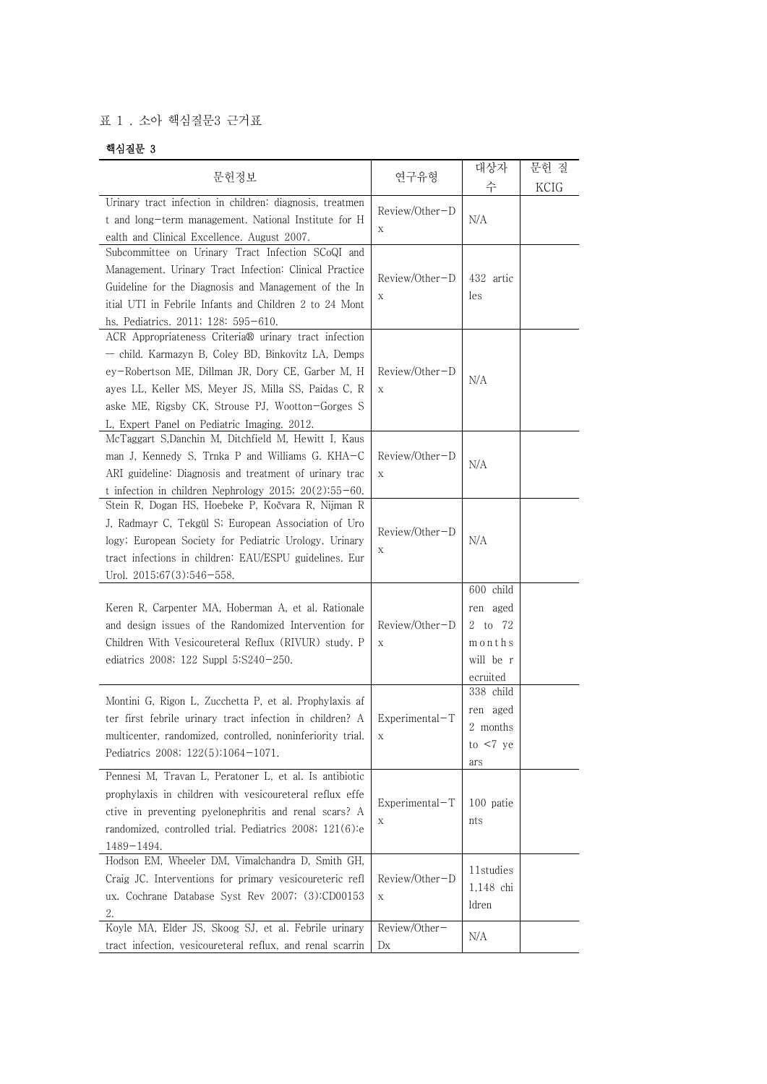## 표 1 . 소아 핵심질문3 근거표

## 핵심질문 3

|                                                                                                                                                                                                                                                                                                                            |                                 | 대상자                                                                 | 문헌 질 |
|----------------------------------------------------------------------------------------------------------------------------------------------------------------------------------------------------------------------------------------------------------------------------------------------------------------------------|---------------------------------|---------------------------------------------------------------------|------|
| 문헌정보                                                                                                                                                                                                                                                                                                                       | 연구유형                            | 수                                                                   | KCIG |
| Urinary tract infection in children: diagnosis, treatmen<br>t and long-term management. National Institute for H<br>ealth and Clinical Excellence. August 2007.                                                                                                                                                            | Review/Other-D<br>Χ             | N/A                                                                 |      |
| Subcommittee on Urinary Tract Infection SCoQI and<br>Management. Urinary Tract Infection: Clinical Practice<br>Guideline for the Diagnosis and Management of the In<br>itial UTI in Febrile Infants and Children 2 to 24 Mont<br>hs. Pediatrics. 2011; 128: 595-610.                                                       | Review/Other-D<br>Χ             | 432 artic<br>les                                                    |      |
| ACR Appropriateness Criteria® urinary tract infection<br>- child. Karmazyn B, Coley BD, Binkovitz LA, Demps<br>ey-Robertson ME, Dillman JR, Dory CE, Garber M, H<br>ayes LL, Keller MS, Meyer JS, Milla SS, Paidas C, R<br>aske ME, Rigsby CK, Strouse PJ, Wootton-Gorges S<br>L, Expert Panel on Pediatric Imaging. 2012. | Review/Other-D<br>$\mathbf X$   | N/A                                                                 |      |
| McTaggart S,Danchin M, Ditchfield M, Hewitt I, Kaus<br>man J, Kennedy S, Trnka P and Williams G. KHA-C<br>ARI guideline: Diagnosis and treatment of urinary trac<br>t infection in children Nephrology 2015; 20(2):55-60.                                                                                                  | Review/Other-D<br>$\mathbf X$   | N/A                                                                 |      |
| Stein R, Dogan HS, Hoebeke P, Kočvara R, Nijman R<br>J, Radmayr C, Tekgül S; European Association of Uro<br>logy; European Society for Pediatric Urology. Urinary<br>tract infections in children: EAU/ESPU guidelines. Eur<br>Urol. 2015;67(3):546-558.                                                                   | Review/Other-D<br>Χ             | N/A                                                                 |      |
| Keren R, Carpenter MA, Hoberman A, et al. Rationale<br>and design issues of the Randomized Intervention for<br>Children With Vesicoureteral Reflux (RIVUR) study. P<br>ediatrics 2008; 122 Suppl 5:S240-250.                                                                                                               | Review/Other-D<br>$\mathbf X$   | 600 child<br>ren aged<br>2 to 72<br>months<br>will be r<br>ecruited |      |
| Montini G, Rigon L, Zucchetta P, et al. Prophylaxis af<br>ter first febrile urinary tract infection in children? A<br>multicenter, randomized, controlled, noninferiority trial.<br>Pediatrics 2008; $122(5):1064-1071$ .                                                                                                  | $Experimental-T$<br>$\mathbf X$ | 338 child<br>ren aged<br>2 months<br>to $< 7$ ye<br>ars             |      |
| Pennesi M, Travan L, Peratoner L, et al. Is antibiotic<br>prophylaxis in children with vesicoureteral reflux effe<br>ctive in preventing pyelonephritis and renal scars? A<br>randomized, controlled trial. Pediatrics 2008; 121(6):e<br>$1489 - 1494.$                                                                    | $Experimental-T$<br>Χ           | 100 patie<br>nts                                                    |      |
| Hodson EM, Wheeler DM, Vimalchandra D, Smith GH,<br>Craig JC. Interventions for primary vesicoureteric refl<br>ux. Cochrane Database Syst Rev 2007; (3):CD00153<br>2.                                                                                                                                                      | Review/Other-D<br>$\mathbf X$   | 11studies<br>1,148 chi<br>ldren                                     |      |
| Koyle MA, Elder JS, Skoog SJ, et al. Febrile urinary<br>tract infection, vesicoureteral reflux, and renal scarrin                                                                                                                                                                                                          | Review/Other-<br>D <sub>X</sub> | N/A                                                                 |      |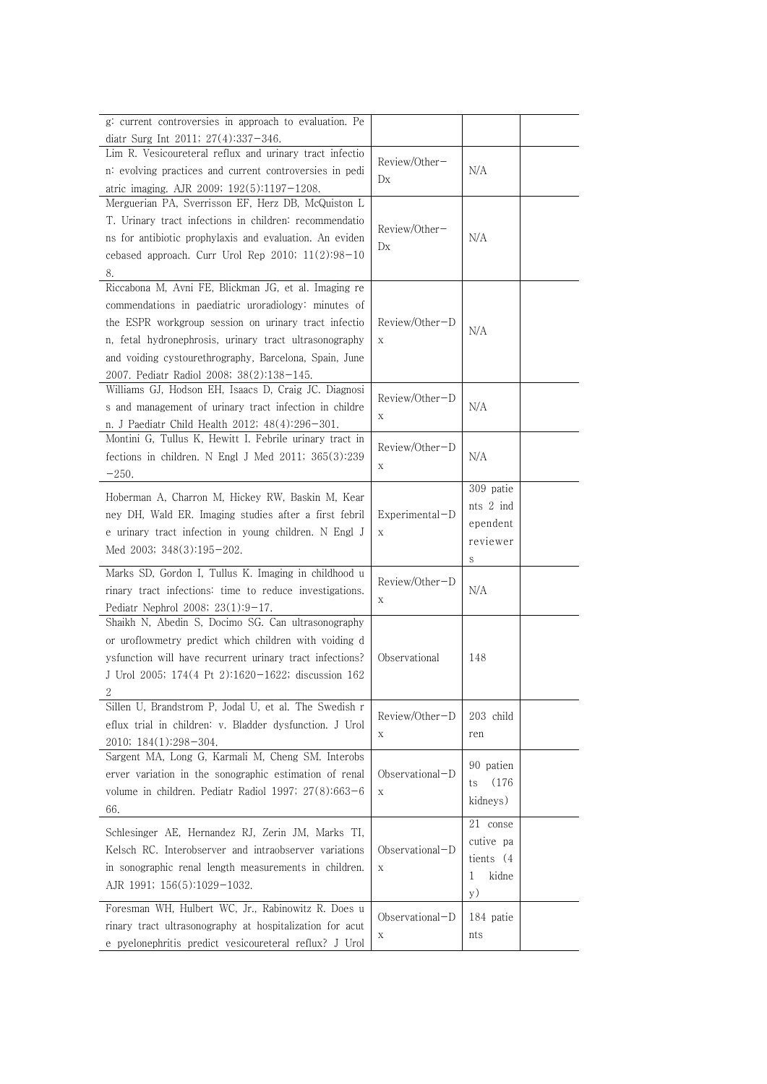| g: current controversies in approach to evaluation. Pe                                           |                  |              |  |
|--------------------------------------------------------------------------------------------------|------------------|--------------|--|
| diatr Surg Int 2011; $27(4):337-346$ .                                                           |                  |              |  |
| Lim R. Vesicoureteral reflux and urinary tract infectio                                          | Review/Other-    |              |  |
| n: evolving practices and current controversies in pedi                                          | Dx               | N/A          |  |
| atric imaging. AJR 2009; 192(5):1197-1208.<br>Merguerian PA, Sverrisson EF, Herz DB, McQuiston L |                  |              |  |
| T. Urinary tract infections in children: recommendatio                                           |                  |              |  |
| ns for antibiotic prophylaxis and evaluation. An eviden                                          | Review/Other-    | N/A          |  |
| cebased approach. Curr Urol Rep 2010; $11(2):98-10$                                              | Dx               |              |  |
| 8.                                                                                               |                  |              |  |
| Riccabona M, Avni FE, Blickman JG, et al. Imaging re                                             |                  |              |  |
| commendations in paediatric uroradiology: minutes of                                             |                  |              |  |
| the ESPR workgroup session on urinary tract infectio                                             | Review/Other-D   |              |  |
| n, fetal hydronephrosis, urinary tract ultrasonography                                           | X                | N/A          |  |
| and voiding cystourethrography, Barcelona, Spain, June                                           |                  |              |  |
| 2007. Pediatr Radiol 2008; 38(2):138-145.                                                        |                  |              |  |
| Williams GJ, Hodson EH, Isaacs D, Craig JC. Diagnosi                                             | Review/Other-D   |              |  |
| s and management of urinary tract infection in childre                                           | X                | N/A          |  |
| n. J Paediatr Child Health 2012; 48(4):296-301.                                                  |                  |              |  |
| Montini G, Tullus K, Hewitt I. Febrile urinary tract in                                          | Review/Other-D   |              |  |
| fections in children. N Engl J Med $2011$ ; $365(3):239$                                         | Х                | N/A          |  |
| $-250.$                                                                                          |                  |              |  |
| Hoberman A, Charron M, Hickey RW, Baskin M, Kear                                                 |                  | 309 patie    |  |
| ney DH, Wald ER. Imaging studies after a first febril                                            | $Experimental-D$ | nts 2 ind    |  |
| e urinary tract infection in young children. N Engl J                                            | $\mathbf X$      | ependent     |  |
| Med 2003; $348(3):195-202$ .                                                                     |                  | reviewer     |  |
| Marks SD, Gordon I, Tullus K. Imaging in childhood u                                             |                  | S            |  |
| rinary tract infections: time to reduce investigations.                                          | Review/Other-D   | N/A          |  |
| Pediatr Nephrol 2008; 23(1):9-17.                                                                | X                |              |  |
| Shaikh N, Abedin S, Docimo SG. Can ultrasonography                                               |                  |              |  |
| or uroflowmetry predict which children with voiding d                                            |                  |              |  |
| ysfunction will have recurrent urinary tract infections?                                         | Observational    | 148          |  |
| J Urol 2005; 174(4 Pt 2):1620-1622; discussion 162                                               |                  |              |  |
|                                                                                                  |                  |              |  |
| Sillen U, Brandstrom P, Jodal U, et al. The Swedish r                                            | Review/Other-D   | 203 child    |  |
| eflux trial in children: v. Bladder dysfunction. J Urol                                          | X                | ren          |  |
| 2010; 184(1):298-304.                                                                            |                  |              |  |
| Sargent MA, Long G, Karmali M, Cheng SM. Interobs                                                |                  | 90 patien    |  |
| erver variation in the sonographic estimation of renal                                           | Observational-D  | (176)<br>ts  |  |
| volume in children. Pediatr Radiol 1997; $27(8):663-6$                                           | X                | kidneys)     |  |
| 66.                                                                                              |                  | 21 conse     |  |
| Schlesinger AE, Hernandez RJ, Zerin JM, Marks TI,                                                |                  | cutive pa    |  |
| Kelsch RC. Interobserver and intraobserver variations                                            | Observational-D  | tients $(4)$ |  |
| in sonographic renal length measurements in children.                                            | X                | kidne<br>1   |  |
| AJR 1991; 156(5):1029-1032.                                                                      |                  | y)           |  |
| Foresman WH, Hulbert WC, Jr., Rabinowitz R. Does u                                               |                  |              |  |
| rinary tract ultrasonography at hospitalization for acut                                         | Observational-D  | 184 patie    |  |
| e pyelonephritis predict vesicoureteral reflux? J Urol                                           | X                | nts          |  |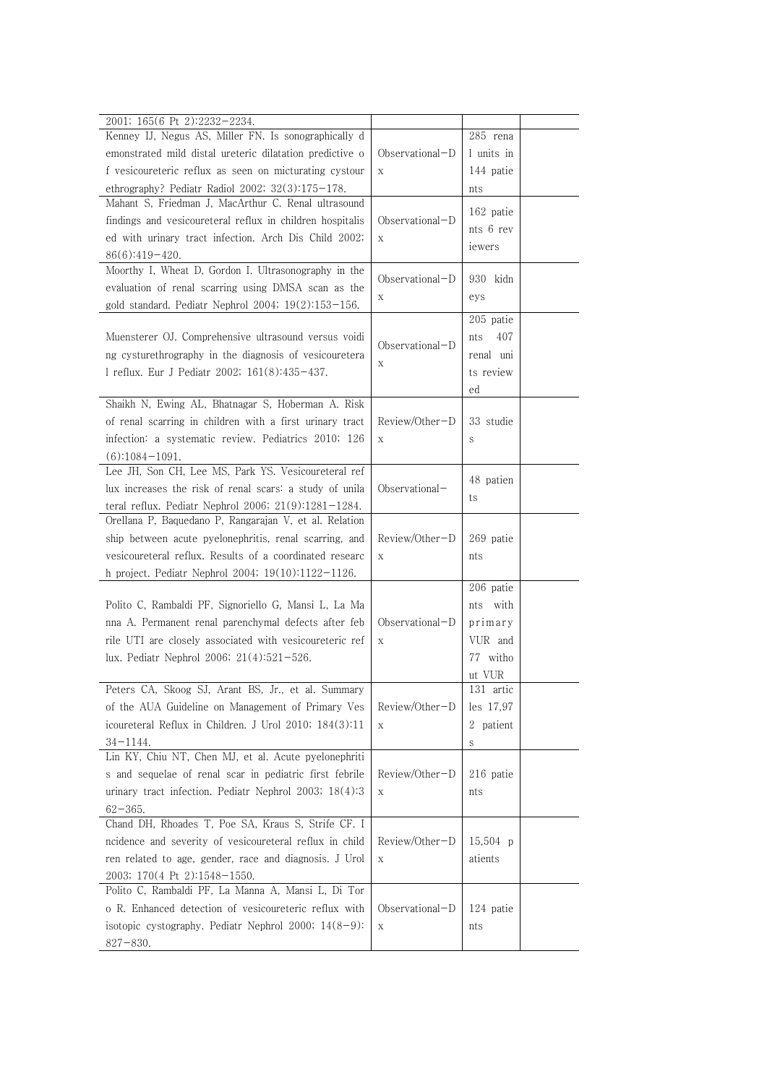| 2001; 165(6 Pt 2):2232-2234.<br>Kenney IJ, Negus AS, Miller FN. Is sonographically d |                   | 285 rena    |  |
|--------------------------------------------------------------------------------------|-------------------|-------------|--|
| emonstrated mild distal ureteric dilatation predictive o                             |                   | 1 units in  |  |
|                                                                                      | $Observational-D$ |             |  |
| f vesicoureteric reflux as seen on micturating cystour                               | $\mathbf X$       | 144 patie   |  |
| ethrography? Pediatr Radiol 2002; $32(3):175-178$ .                                  |                   | nts         |  |
| Mahant S, Friedman J, MacArthur C. Renal ultrasound                                  |                   | 162 patie   |  |
| findings and vesicoureteral reflux in children hospitalis                            | Observational-D   | nts 6 rev   |  |
| ed with urinary tract infection. Arch Dis Child 2002;                                | $\mathbf X$       | iewers      |  |
| $86(6):419-420.$                                                                     |                   |             |  |
| Moorthy I, Wheat D, Gordon I. Ultrasonography in the                                 | $Observational-D$ | 930 kidn    |  |
| evaluation of renal scarring using DMSA scan as the                                  | Χ                 | eys         |  |
| gold standard. Pediatr Nephrol 2004; $19(2):153-156$ .                               |                   |             |  |
|                                                                                      |                   | 205 patie   |  |
| Muensterer OJ. Comprehensive ultrasound versus voidi                                 | Observational-D   | 407<br>nts  |  |
| ng cysturethrography in the diagnosis of vesicouretera                               | $\mathbf X$       | renal uni   |  |
| 1 reflux. Eur J Pediatr 2002; 161(8):435-437.                                        |                   | ts review   |  |
|                                                                                      |                   | ed          |  |
| Shaikh N, Ewing AL, Bhatnagar S, Hoberman A. Risk                                    |                   |             |  |
| of renal scarring in children with a first urinary tract                             | Review/Other-D    | 33 studie   |  |
| infection: a systematic review. Pediatrics 2010; 126                                 | $\mathbf X$       | S           |  |
| $(6):1084-1091.$                                                                     |                   |             |  |
| Lee JH, Son CH, Lee MS, Park YS. Vesicoureteral ref                                  |                   | 48 patien   |  |
| lux increases the risk of renal scars: a study of unila                              | Observational-    |             |  |
| teral reflux. Pediatr Nephrol 2006; $21(9):1281-1284$ .                              |                   | ts          |  |
| Orellana P, Baquedano P, Rangarajan V, et al. Relation                               |                   |             |  |
| ship between acute pyelonephritis, renal scarring, and                               | Review/Other-D    | 269 patie   |  |
| vesicoureteral reflux. Results of a coordinated researc                              | $\mathbf X$       | nts         |  |
| h project. Pediatr Nephrol 2004; 19(10):1122-1126.                                   |                   |             |  |
|                                                                                      |                   | 206 patie   |  |
| Polito C, Rambaldi PF, Signoriello G, Mansi L, La Ma                                 |                   | with<br>nts |  |
| nna A. Permanent renal parenchymal defects after feb                                 | Observational-D   | primary     |  |
| rile UTI are closely associated with vesicoureteric ref                              | $\mathbf X$       | VUR and     |  |
| lux. Pediatr Nephrol 2006; 21(4):521-526.                                            |                   | 77 witho    |  |
|                                                                                      |                   | ut VUR      |  |
| Peters CA, Skoog SJ, Arant BS, Jr., et al. Summary                                   |                   | 131 artic   |  |
| of the AUA Guideline on Management of Primary Ves                                    | Review/Other-D    | les 17,97   |  |
|                                                                                      |                   |             |  |
|                                                                                      |                   |             |  |
| icoureteral Reflux in Children. J Urol 2010; 184(3):11                               | $\mathbf X$       | 2 patient   |  |
| $34 - 1144.$                                                                         |                   | S           |  |
| Lin KY, Chiu NT, Chen MJ, et al. Acute pyelonephriti                                 |                   |             |  |
| s and sequelae of renal scar in pediatric first febrile                              | Review/Other-D    | 216 patie   |  |
| urinary tract infection. Pediatr Nephrol 2003; $18(4):3$                             | X                 | nts         |  |
| $62 - 365.$                                                                          |                   |             |  |
| Chand DH, Rhoades T, Poe SA, Kraus S, Strife CF. I                                   |                   |             |  |
| ncidence and severity of vesicoureteral reflux in child                              | Review/Other-D    | $15,504$ p  |  |
| ren related to age, gender, race and diagnosis. J Urol                               | $\mathbf X$       | atients     |  |
| 2003; 170(4 Pt 2):1548-1550.                                                         |                   |             |  |
| Polito C, Rambaldi PF, La Manna A, Mansi L, Di Tor                                   |                   |             |  |
| o R. Enhanced detection of vesicoureteric reflux with                                | Observational-D   | 124 patie   |  |
| isotopic cystography. Pediatr Nephrol 2000; 14(8-9):<br>$827 - 830.$                 | $\mathbf X$       | nts         |  |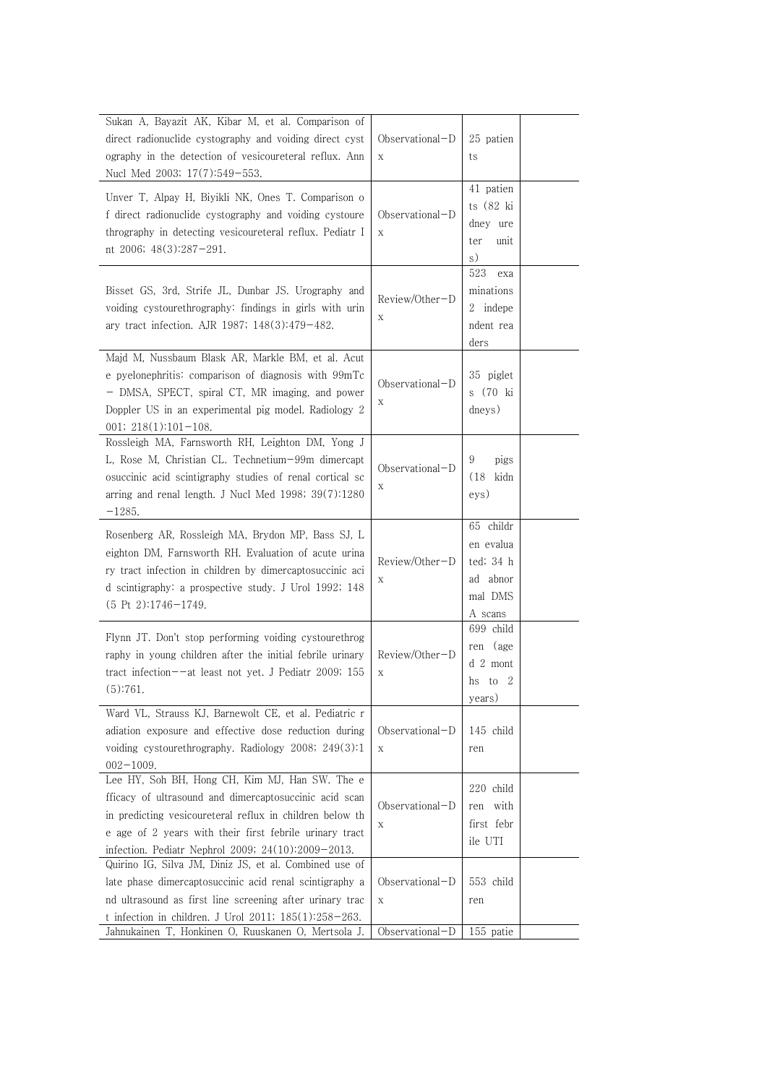| Sukan A, Bayazit AK, Kibar M, et al. Comparison of<br>direct radionuclide cystography and voiding direct cyst<br>ography in the detection of vesicoureteral reflux. Ann                                                                                                               | Observational-D<br>X           | 25 patien<br>ts                                                       |
|---------------------------------------------------------------------------------------------------------------------------------------------------------------------------------------------------------------------------------------------------------------------------------------|--------------------------------|-----------------------------------------------------------------------|
| Nucl Med 2003; 17(7):549-553.                                                                                                                                                                                                                                                         |                                |                                                                       |
| Unver T, Alpay H, Biyikli NK, Ones T. Comparison o<br>f direct radionuclide cystography and voiding cystoure<br>thrography in detecting vesicoureteral reflux. Pediatr I<br>nt 2006; 48(3):287-291.                                                                                   | Observational-D<br>$\mathbf X$ | 41 patien<br>ts (82 ki<br>dney ure<br>ter<br>unit<br>s)               |
| Bisset GS, 3rd, Strife JL, Dunbar JS. Urography and<br>voiding cystourethrography: findings in girls with urin<br>ary tract infection. AJR 1987; 148(3):479-482.                                                                                                                      | Review/Other-D<br>Χ            | 523<br>exa<br>minations<br>2 indepe<br>ndent rea<br>ders              |
| Majd M, Nussbaum Blask AR, Markle BM, et al. Acut<br>e pyelonephritis: comparison of diagnosis with 99mTc<br>- DMSA, SPECT, spiral CT, MR imaging, and power<br>Doppler US in an experimental pig model. Radiology 2<br>$001; 218(1):101-108.$                                        | Observational-D<br>Χ           | 35 piglet<br>s (70 ki<br>dneys)                                       |
| Rossleigh MA, Farnsworth RH, Leighton DM, Yong J<br>L, Rose M, Christian CL. Technetium-99m dimercapt<br>osuccinic acid scintigraphy studies of renal cortical sc<br>arring and renal length. J Nucl Med 1998; 39(7):1280<br>$-1285.$                                                 | Observational-D<br>Χ           | 9<br>pigs<br>$(18 \text{ kidn})$<br>eys)                              |
| Rosenberg AR, Rossleigh MA, Brydon MP, Bass SJ, L<br>eighton DM, Farnsworth RH. Evaluation of acute urina<br>ry tract infection in children by dimercaptosuccinic aci<br>d scintigraphy: a prospective study. J Urol 1992; 148<br>$(5 \text{ Pt } 2):1746-1749.$                      | Review/Other-D<br>Χ            | 65 childr<br>en evalua<br>ted; 34 h<br>ad abnor<br>mal DMS<br>A scans |
| Flynn JT. Don't stop performing voiding cystourethrog<br>raphy in young children after the initial febrile urinary<br>tract infection- $-at$ least not yet. J Pediatr 2009; 155<br>(5):761.                                                                                           | Review/Other-D<br>X            | 699 child<br>ren (age<br>$d2$ mont<br>hs to 2<br>years)               |
| Ward VL, Strauss KJ, Barnewolt CE, et al. Pediatric r<br>adiation exposure and effective dose reduction during<br>voiding cystourethrography. Radiology 2008; 249(3):1<br>$002 - 1009.$                                                                                               | $Observational-D$<br>X         | 145 child<br>ren                                                      |
| Lee HY, Soh BH, Hong CH, Kim MJ, Han SW. The e<br>fficacy of ultrasound and dimercaptosuccinic acid scan<br>in predicting vesicoureteral reflux in children below th<br>e age of 2 years with their first febrile urinary tract<br>infection. Pediatr Nephrol 2009; 24(10):2009-2013. | Observational-D<br>Χ           | 220 child<br>ren with<br>first febr<br>ile UTI                        |
| Quirino IG, Silva JM, Diniz JS, et al. Combined use of<br>late phase dimercaptosuccinic acid renal scintigraphy a<br>nd ultrasound as first line screening after urinary trac<br>t infection in children. J Urol 2011; 185(1):258-263.                                                | Observational-D<br>X           | 553 child<br>ren                                                      |
| Jahnukainen T, Honkinen O, Ruuskanen O, Mertsola J.                                                                                                                                                                                                                                   | Observational-D                | 155 patie                                                             |